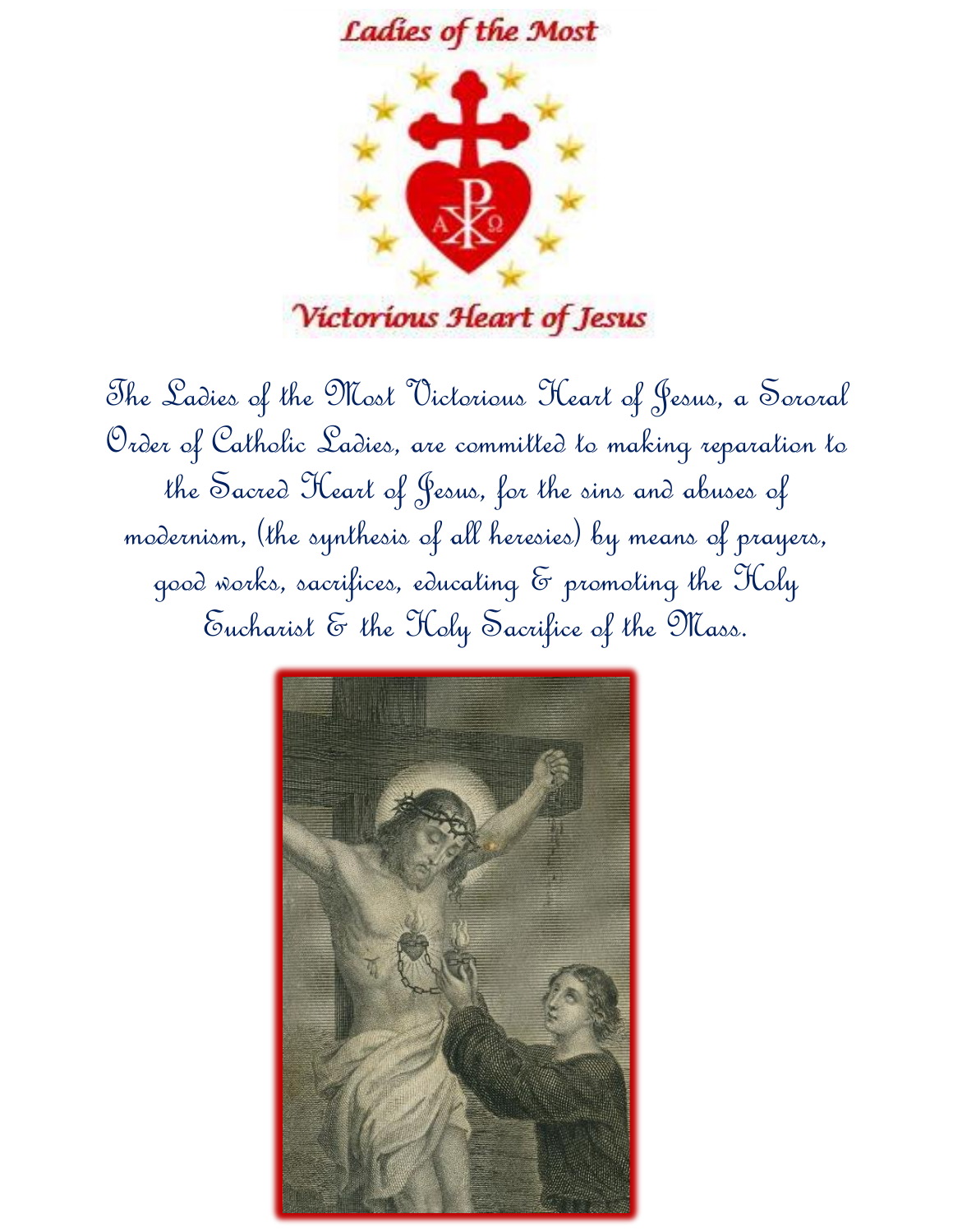



The Ladies of the Most Victorious Heart of Jesus, a Sororal Order of Catholic Ladies, are committed to making reparation to the Sacred Heart of Jesus, for the sins and abuses of modernism, (the synthesis of all heresies) by means of prayers, good works, sacrifices, educating & promoting the Holy Eucharist & the Holy Sacrifice of the Mass.

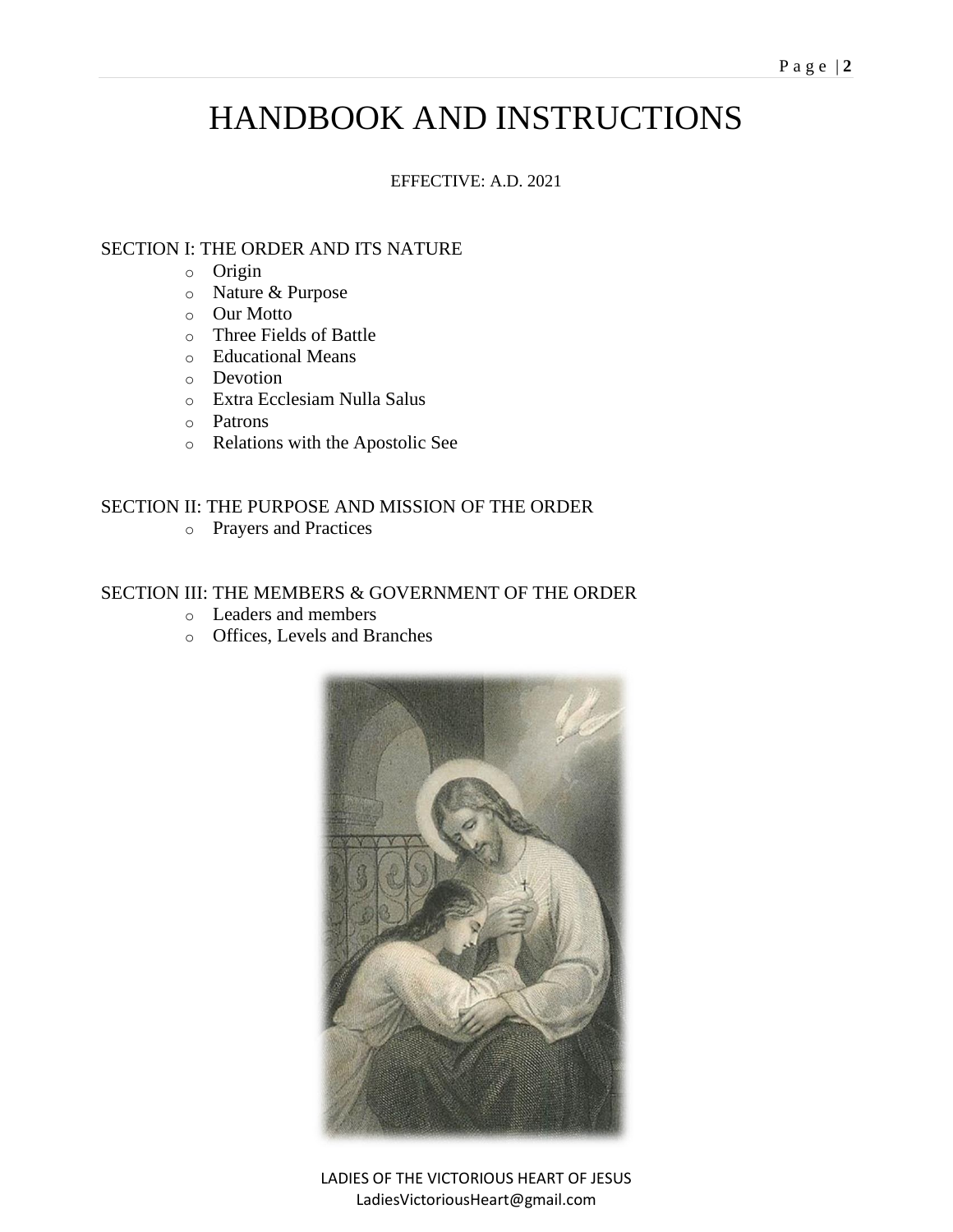# HANDBOOK AND INSTRUCTIONS

### EFFECTIVE: A.D. 2021

## SECTION I: THE ORDER AND ITS NATURE

- o Origin
- o Nature & Purpose
- o Our Motto
- o Three Fields of Battle
- o Educational Means
- o Devotion
- o Extra Ecclesiam Nulla Salus
- o Patrons
- o Relations with the Apostolic See

## SECTION II: THE PURPOSE AND MISSION OF THE ORDER

o Prayers and Practices

### SECTION III: THE MEMBERS & GOVERNMENT OF THE ORDER

- o Leaders and members
- o Offices, Levels and Branches



LADIES OF THE VICTORIOUS HEART OF JESUS LadiesVictoriousHeart@gmail.com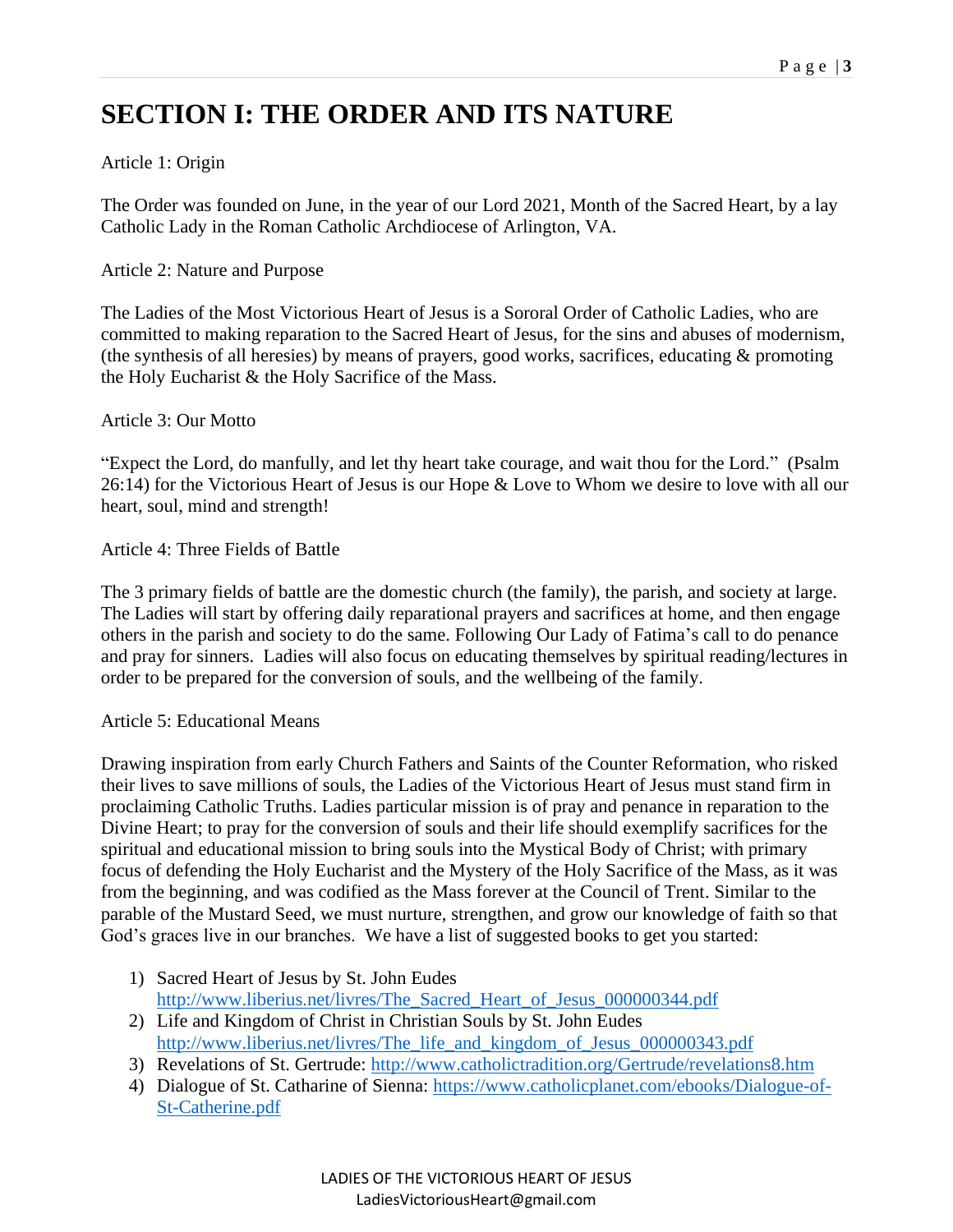# **SECTION I: THE ORDER AND ITS NATURE**

## Article 1: Origin

The Order was founded on June, in the year of our Lord 2021, Month of the Sacred Heart, by a lay Catholic Lady in the Roman Catholic Archdiocese of Arlington, VA.

## Article 2: Nature and Purpose

The Ladies of the Most Victorious Heart of Jesus is a Sororal Order of Catholic Ladies, who are committed to making reparation to the Sacred Heart of Jesus, for the sins and abuses of modernism, (the synthesis of all heresies) by means of prayers, good works, sacrifices, educating & promoting the Holy Eucharist & the Holy Sacrifice of the Mass.

## Article 3: Our Motto

"Expect the Lord, do manfully, and let thy heart take courage, and wait thou for the Lord." (Psalm 26:14) for the Victorious Heart of Jesus is our Hope & Love to Whom we desire to love with all our heart, soul, mind and strength!

## Article 4: Three Fields of Battle

The 3 primary fields of battle are the domestic church (the family), the parish, and society at large. The Ladies will start by offering daily reparational prayers and sacrifices at home, and then engage others in the parish and society to do the same. Following Our Lady of Fatima's call to do penance and pray for sinners. Ladies will also focus on educating themselves by spiritual reading/lectures in order to be prepared for the conversion of souls, and the wellbeing of the family.

## Article 5: Educational Means

Drawing inspiration from early Church Fathers and Saints of the Counter Reformation, who risked their lives to save millions of souls, the Ladies of the Victorious Heart of Jesus must stand firm in proclaiming Catholic Truths. Ladies particular mission is of pray and penance in reparation to the Divine Heart; to pray for the conversion of souls and their life should exemplify sacrifices for the spiritual and educational mission to bring souls into the Mystical Body of Christ; with primary focus of defending the Holy Eucharist and the Mystery of the Holy Sacrifice of the Mass, as it was from the beginning, and was codified as the Mass forever at the Council of Trent. Similar to the parable of the Mustard Seed, we must nurture, strengthen, and grow our knowledge of faith so that God's graces live in our branches. We have a list of suggested books to get you started:

- 1) Sacred Heart of Jesus by St. John Eudes [http://www.liberius.net/livres/The\\_Sacred\\_Heart\\_of\\_Jesus\\_000000344.pdf](http://www.liberius.net/livres/The_Sacred_Heart_of_Jesus_000000344.pdf)
- 2) Life and Kingdom of Christ in Christian Souls by St. John Eudes [http://www.liberius.net/livres/The\\_life\\_and\\_kingdom\\_of\\_Jesus\\_000000343.pdf](http://www.liberius.net/livres/The_life_and_kingdom_of_Jesus_000000343.pdf)
- 3) Revelations of St. Gertrude:<http://www.catholictradition.org/Gertrude/revelations8.htm>
- 4) Dialogue of St. Catharine of Sienna: [https://www.catholicplanet.com/ebooks/Dialogue-of-](https://www.catholicplanet.com/ebooks/Dialogue-of-St-Catherine.pdf)[St-Catherine.pdf](https://www.catholicplanet.com/ebooks/Dialogue-of-St-Catherine.pdf)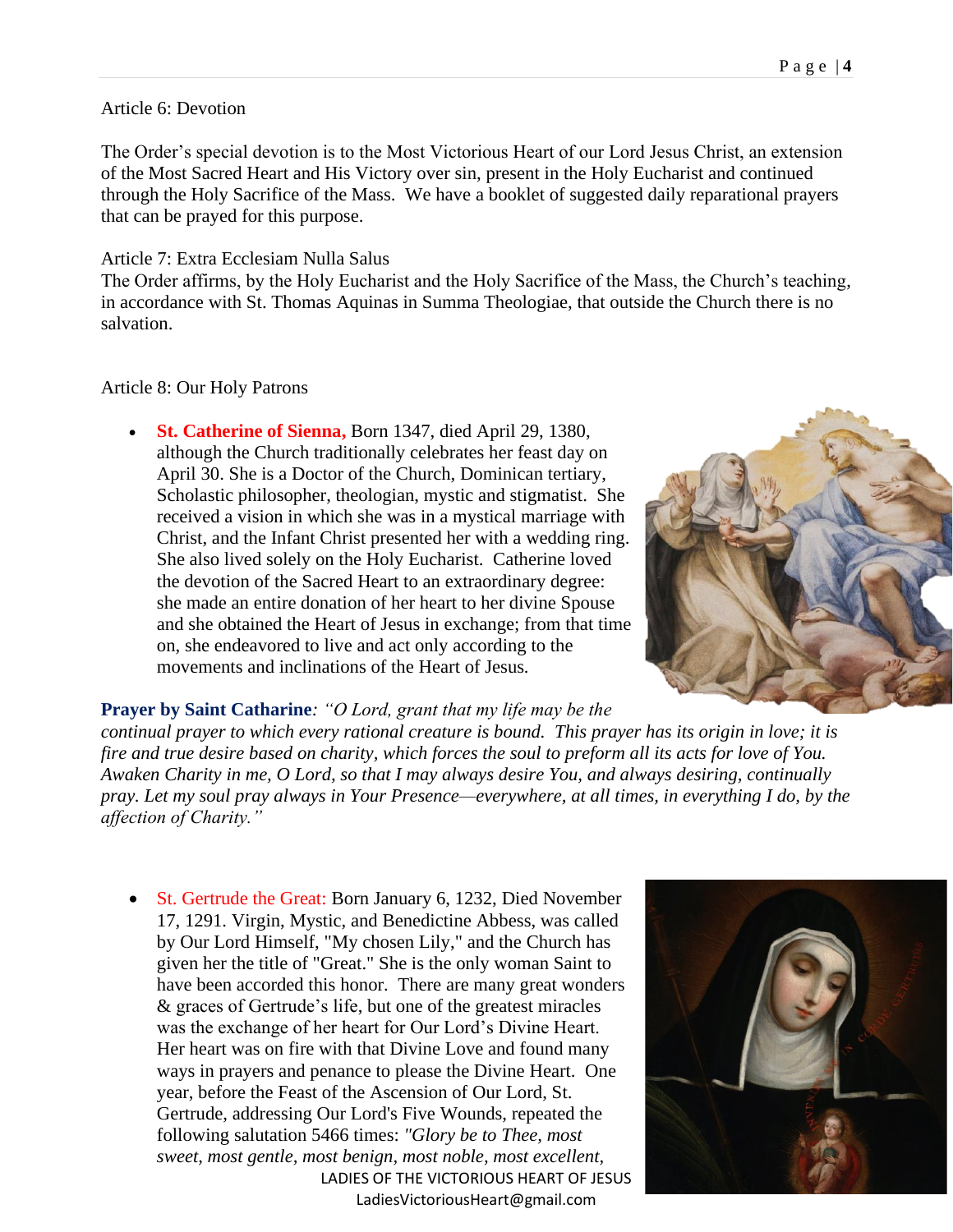#### Article 6: Devotion

The Order's special devotion is to the Most Victorious Heart of our Lord Jesus Christ, an extension of the Most Sacred Heart and His Victory over sin, present in the Holy Eucharist and continued through the Holy Sacrifice of the Mass. We have a booklet of suggested daily reparational prayers that can be prayed for this purpose.

#### Article 7: Extra Ecclesiam Nulla Salus

The Order affirms, by the Holy Eucharist and the Holy Sacrifice of the Mass, the Church's teaching, in accordance with St. Thomas Aquinas in Summa Theologiae, that outside the Church there is no salvation.

#### Article 8: Our Holy Patrons

• **St. Catherine of Sienna,** Born 1347, died April 29, 1380, although the Church traditionally celebrates her feast day on April 30. She is a Doctor of the Church, Dominican tertiary, Scholastic philosopher, theologian, mystic and stigmatist. She received a vision in which she was in a mystical marriage with Christ, and the Infant Christ presented her with a wedding ring. She also lived solely on the Holy Eucharist. Catherine loved the devotion of the Sacred Heart to an extraordinary degree: she made an entire donation of her heart to her divine Spouse and she obtained the Heart of Jesus in exchange; from that time on, she endeavored to live and act only according to the movements and inclinations of the Heart of Jesus*.*



**Prayer by Saint Catharine***: "O Lord, grant that my life may be the*

*continual prayer to which every rational creature is bound. This prayer has its origin in love; it is fire and true desire based on charity, which forces the soul to preform all its acts for love of You. Awaken Charity in me, O Lord, so that I may always desire You, and always desiring, continually pray. Let my soul pray always in Your Presence—everywhere, at all times, in everything I do, by the affection of Charity."*

LADIES OF THE VICTORIOUS HEART OF JESUS LadiesVictoriousHeart@gmail.com • St. Gertrude the Great: Born January 6, 1232, Died November 17, 1291. Virgin, Mystic, and Benedictine Abbess, was called by Our Lord Himself, "My chosen Lily," and the Church has given her the title of "Great." She is the only woman Saint to have been accorded this honor. There are many great wonders & graces of Gertrude's life, but one of the greatest miracles was the exchange of her heart for Our Lord's Divine Heart. Her heart was on fire with that Divine Love and found many ways in prayers and penance to please the Divine Heart. One year, before the Feast of the Ascension of Our Lord, St. Gertrude, addressing Our Lord's Five Wounds, repeated the following salutation 5466 times: *"Glory be to Thee, most sweet, most gentle, most benign, most noble, most excellent,* 

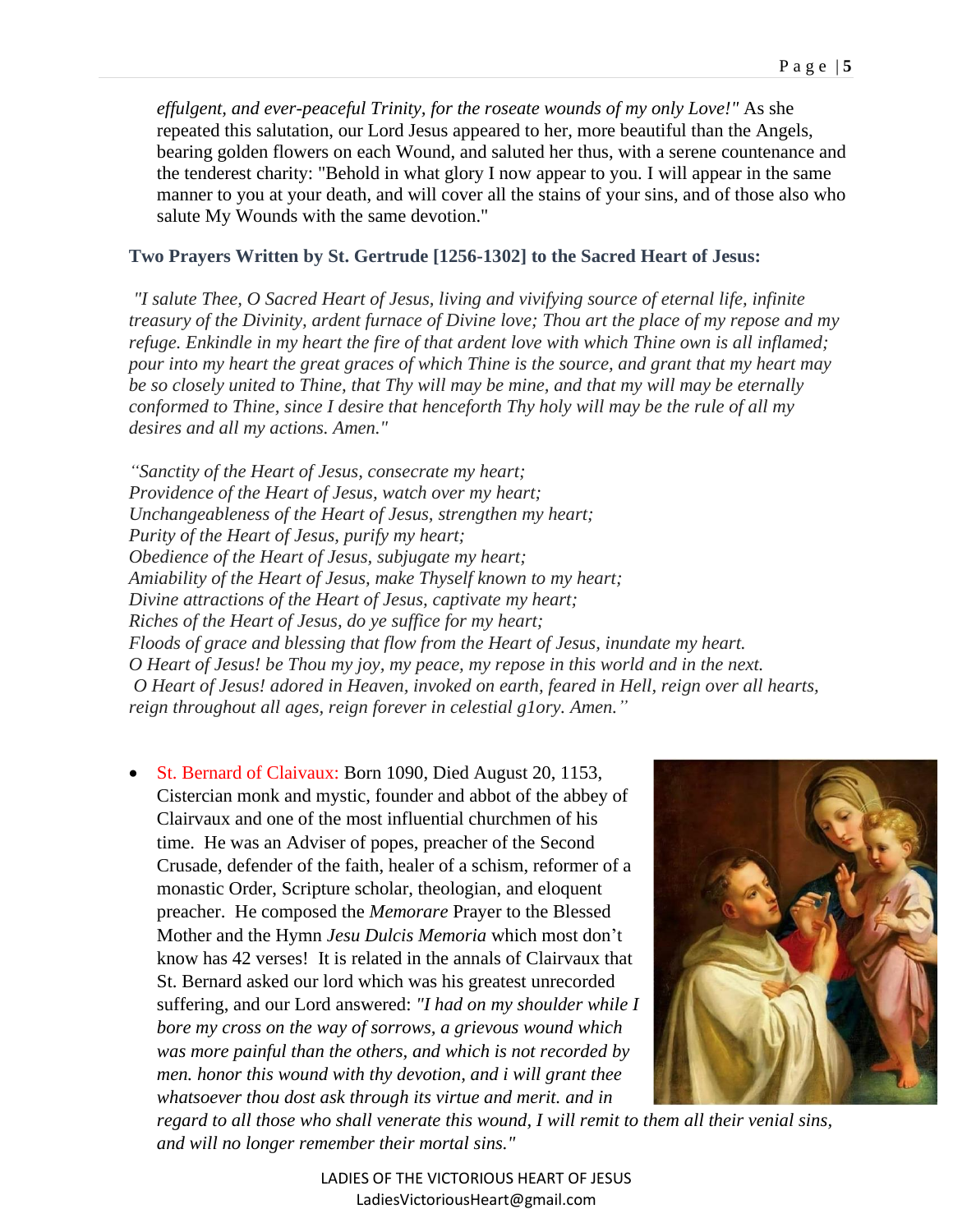*effulgent, and ever-peaceful Trinity, for the roseate wounds of my only Love!"* As she repeated this salutation, our Lord Jesus appeared to her, more beautiful than the Angels, bearing golden flowers on each Wound, and saluted her thus, with a serene countenance and the tenderest charity: "Behold in what glory I now appear to you. I will appear in the same manner to you at your death, and will cover all the stains of your sins, and of those also who salute My Wounds with the same devotion."

#### **Two Prayers Written by St. Gertrude [1256-1302] to the Sacred Heart of Jesus:**

*"I salute Thee, O Sacred Heart of Jesus, living and vivifying source of eternal life, infinite treasury of the Divinity, ardent furnace of Divine love; Thou art the place of my repose and my refuge. Enkindle in my heart the fire of that ardent love with which Thine own is all inflamed; pour into my heart the great graces of which Thine is the source, and grant that my heart may be so closely united to Thine, that Thy will may be mine, and that my will may be eternally conformed to Thine, since I desire that henceforth Thy holy will may be the rule of all my desires and all my actions. Amen."*

*"Sanctity of the Heart of Jesus, consecrate my heart; Providence of the Heart of Jesus, watch over my heart; Unchangeableness of the Heart of Jesus, strengthen my heart; Purity of the Heart of Jesus, purify my heart; Obedience of the Heart of Jesus, subjugate my heart; Amiability of the Heart of Jesus, make Thyself known to my heart; Divine attractions of the Heart of Jesus, captivate my heart; Riches of the Heart of Jesus, do ye suffice for my heart; Floods of grace and blessing that flow from the Heart of Jesus, inundate my heart. O Heart of Jesus! be Thou my joy, my peace, my repose in this world and in the next. O Heart of Jesus! adored in Heaven, invoked on earth, feared in Hell, reign over all hearts, reign throughout all ages, reign forever in celestial g1ory. Amen."*

• St. Bernard of Claivaux: Born 1090, Died August 20, 1153, Cistercian monk and mystic, founder and abbot of the abbey of Clairvaux and one of the most influential churchmen of his time. He was an Adviser of popes, preacher of the Second Crusade, defender of the faith, healer of a schism, reformer of a monastic Order, Scripture scholar, theologian, and eloquent preacher. He composed the *Memorare* Prayer to the Blessed Mother and the Hymn *Jesu Dulcis Memoria* which most don't know has 42 verses! It is related in the annals of Clairvaux that St. Bernard asked our lord which was his greatest unrecorded suffering, and our Lord answered: *"I had on my shoulder while I bore my cross on the way of sorrows, a grievous wound which was more painful than the others, and which is not recorded by men. honor this wound with thy devotion, and i will grant thee whatsoever thou dost ask through its virtue and merit. and in* 



*regard to all those who shall venerate this wound, I will remit to them all their venial sins, and will no longer remember their mortal sins."*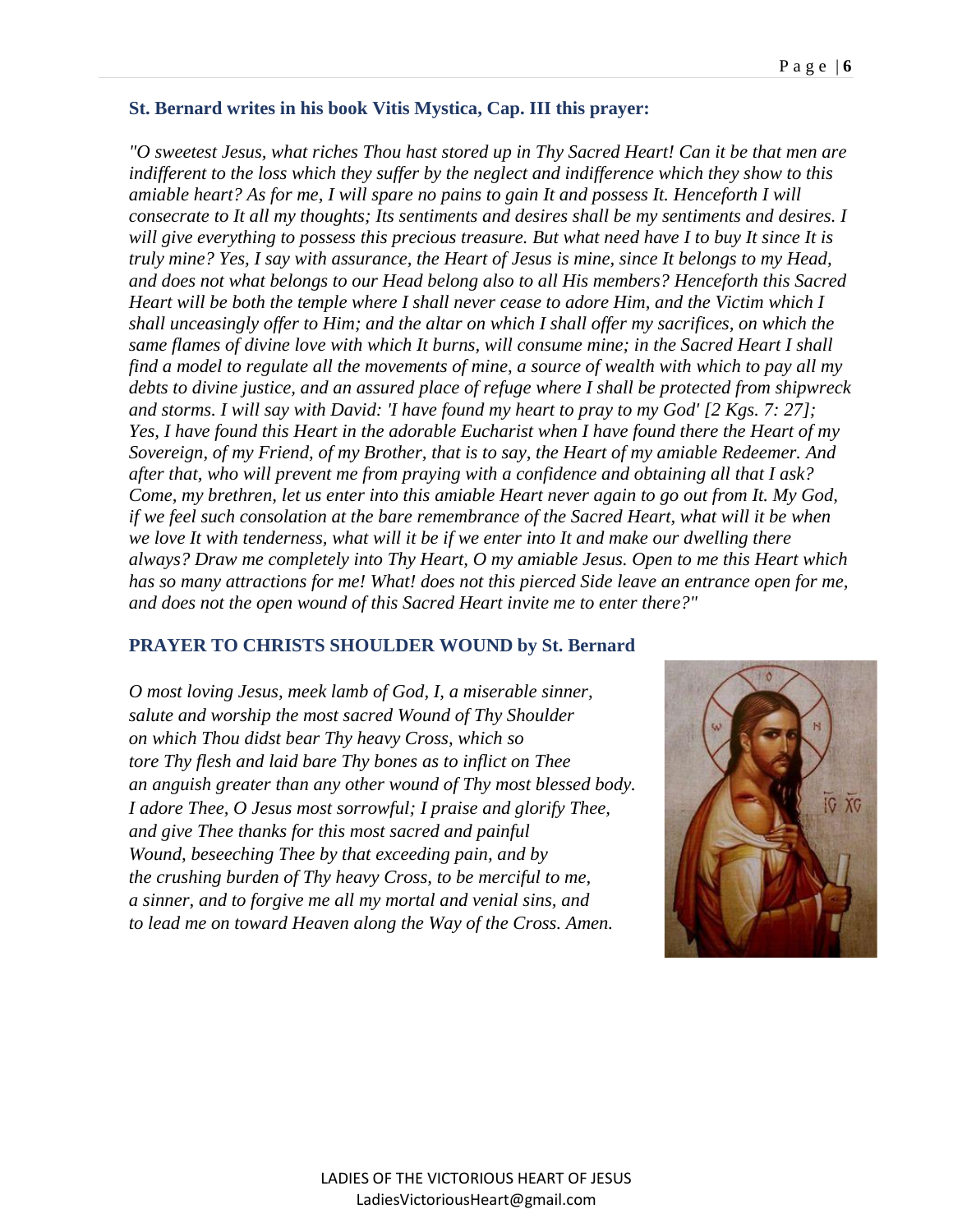#### **St. Bernard writes in his book Vitis Mystica, Cap. III this prayer:**

*"O sweetest Jesus, what riches Thou hast stored up in Thy Sacred Heart! Can it be that men are indifferent to the loss which they suffer by the neglect and indifference which they show to this amiable heart? As for me, I will spare no pains to gain It and possess It. Henceforth I will consecrate to It all my thoughts; Its sentiments and desires shall be my sentiments and desires. I will give everything to possess this precious treasure. But what need have I to buy It since It is truly mine? Yes, I say with assurance, the Heart of Jesus is mine, since It belongs to my Head, and does not what belongs to our Head belong also to all His members? Henceforth this Sacred Heart will be both the temple where I shall never cease to adore Him, and the Victim which I shall unceasingly offer to Him; and the altar on which I shall offer my sacrifices, on which the same flames of divine love with which It burns, will consume mine; in the Sacred Heart I shall find a model to regulate all the movements of mine, a source of wealth with which to pay all my debts to divine justice, and an assured place of refuge where I shall be protected from shipwreck and storms. I will say with David: 'I have found my heart to pray to my God' [2 Kgs. 7: 27]; Yes, I have found this Heart in the adorable Eucharist when I have found there the Heart of my Sovereign, of my Friend, of my Brother, that is to say, the Heart of my amiable Redeemer. And after that, who will prevent me from praying with a confidence and obtaining all that I ask? Come, my brethren, let us enter into this amiable Heart never again to go out from It. My God, if we feel such consolation at the bare remembrance of the Sacred Heart, what will it be when we love It with tenderness, what will it be if we enter into It and make our dwelling there always? Draw me completely into Thy Heart, O my amiable Jesus. Open to me this Heart which has so many attractions for me! What! does not this pierced Side leave an entrance open for me, and does not the open wound of this Sacred Heart invite me to enter there?"* 

#### **PRAYER TO CHRISTS SHOULDER WOUND by St. Bernard**

*O most loving Jesus, meek lamb of God, I, a miserable sinner, salute and worship the most sacred Wound of Thy Shoulder on which Thou didst bear Thy heavy Cross, which so tore Thy flesh and laid bare Thy bones as to inflict on Thee an anguish greater than any other wound of Thy most blessed body. I adore Thee, O Jesus most sorrowful; I praise and glorify Thee, and give Thee thanks for this most sacred and painful Wound, beseeching Thee by that exceeding pain, and by the crushing burden of Thy heavy Cross, to be merciful to me, a sinner, and to forgive me all my mortal and venial sins, and to lead me on toward Heaven along the Way of the Cross. Amen.*

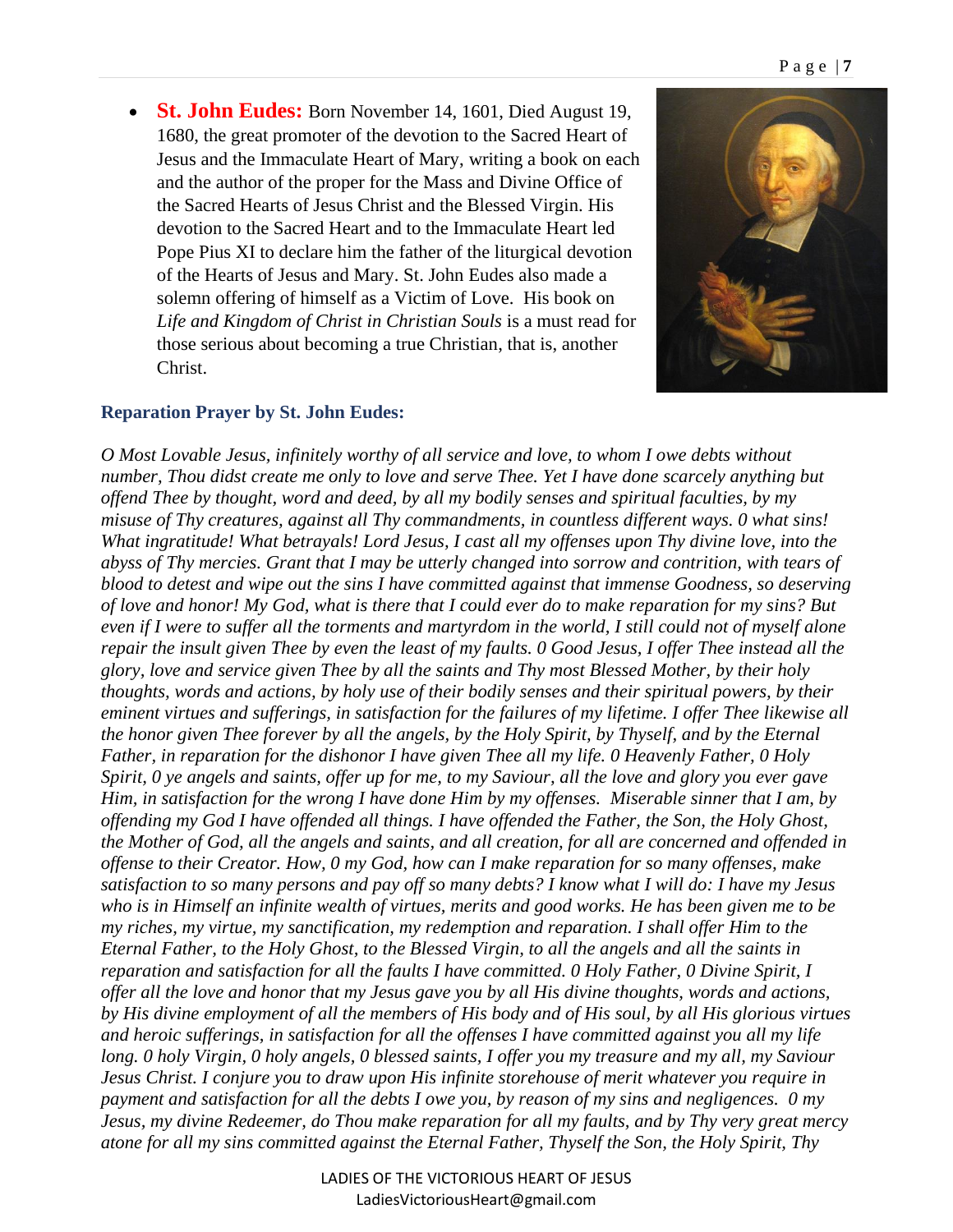• **St. John Eudes:** Born November 14, 1601, Died August 19, 1680, the great promoter of the devotion to the Sacred Heart of Jesus and the Immaculate Heart of Mary, writing a book on each and the author of the proper for the Mass and Divine Office of the Sacred Hearts of Jesus Christ and the Blessed Virgin. His devotion to the Sacred Heart and to the Immaculate Heart led Pope Pius XI to declare him the father of the liturgical devotion of the Hearts of Jesus and Mary. St. John Eudes also made a solemn offering of himself as a Victim of Love. His book on *Life and Kingdom of Christ in Christian Souls* is a must read for those serious about becoming a true Christian, that is, another Christ.



#### **Reparation Prayer by St. John Eudes:**

*O Most Lovable Jesus, infinitely worthy of all service and love, to whom I owe debts without number, Thou didst create me only to love and serve Thee. Yet I have done scarcely anything but offend Thee by thought, word and deed, by all my bodily senses and spiritual faculties, by my misuse of Thy creatures, against all Thy commandments, in countless different ways. 0 what sins! What ingratitude! What betrayals! Lord Jesus, I cast all my offenses upon Thy divine love, into the abyss of Thy mercies. Grant that I may be utterly changed into sorrow and contrition, with tears of blood to detest and wipe out the sins I have committed against that immense Goodness, so deserving of love and honor! My God, what is there that I could ever do to make reparation for my sins? But even if I were to suffer all the torments and martyrdom in the world, I still could not of myself alone repair the insult given Thee by even the least of my faults. 0 Good Jesus, I offer Thee instead all the glory, love and service given Thee by all the saints and Thy most Blessed Mother, by their holy thoughts, words and actions, by holy use of their bodily senses and their spiritual powers, by their eminent virtues and sufferings, in satisfaction for the failures of my lifetime. I offer Thee likewise all the honor given Thee forever by all the angels, by the Holy Spirit, by Thyself, and by the Eternal Father, in reparation for the dishonor I have given Thee all my life. 0 Heavenly Father, 0 Holy Spirit, 0 ye angels and saints, offer up for me, to my Saviour, all the love and glory you ever gave Him, in satisfaction for the wrong I have done Him by my offenses. Miserable sinner that I am, by offending my God I have offended all things. I have offended the Father, the Son, the Holy Ghost, the Mother of God, all the angels and saints, and all creation, for all are concerned and offended in offense to their Creator. How, 0 my God, how can I make reparation for so many offenses, make satisfaction to so many persons and pay off so many debts? I know what I will do: I have my Jesus who is in Himself an infinite wealth of virtues, merits and good works. He has been given me to be my riches, my virtue, my sanctification, my redemption and reparation. I shall offer Him to the Eternal Father, to the Holy Ghost, to the Blessed Virgin, to all the angels and all the saints in reparation and satisfaction for all the faults I have committed. 0 Holy Father, 0 Divine Spirit, I offer all the love and honor that my Jesus gave you by all His divine thoughts, words and actions, by His divine employment of all the members of His body and of His soul, by all His glorious virtues and heroic sufferings, in satisfaction for all the offenses I have committed against you all my life long. 0 holy Virgin, 0 holy angels, 0 blessed saints, I offer you my treasure and my all, my Saviour Jesus Christ. I conjure you to draw upon His infinite storehouse of merit whatever you require in payment and satisfaction for all the debts I owe you, by reason of my sins and negligences. 0 my Jesus, my divine Redeemer, do Thou make reparation for all my faults, and by Thy very great mercy atone for all my sins committed against the Eternal Father, Thyself the Son, the Holy Spirit, Thy* 

> LADIES OF THE VICTORIOUS HEART OF JESUS LadiesVictoriousHeart@gmail.com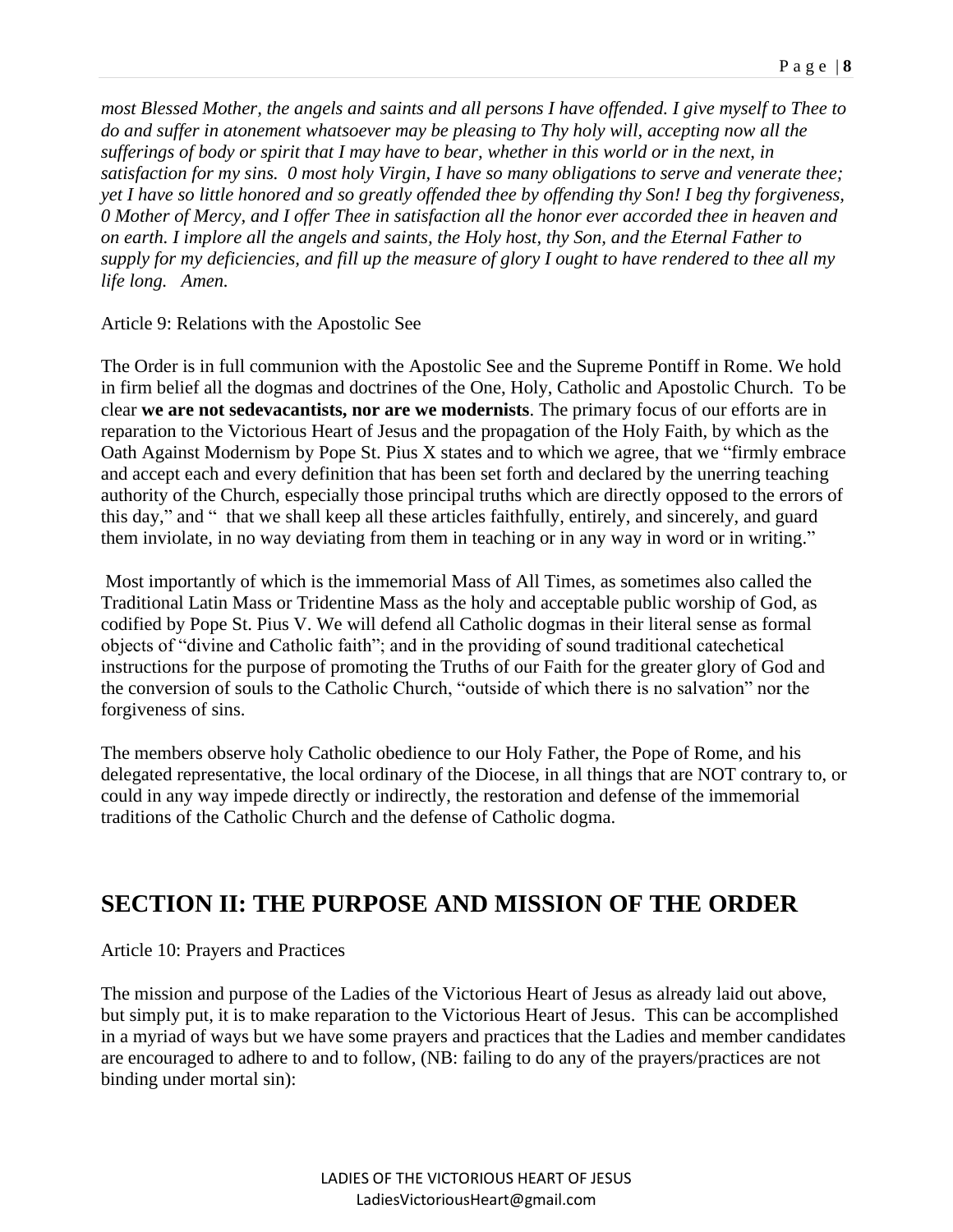*most Blessed Mother, the angels and saints and all persons I have offended. I give myself to Thee to do and suffer in atonement whatsoever may be pleasing to Thy holy will, accepting now all the sufferings of body or spirit that I may have to bear, whether in this world or in the next, in satisfaction for my sins. 0 most holy Virgin, I have so many obligations to serve and venerate thee; yet I have so little honored and so greatly offended thee by offending thy Son! I beg thy forgiveness, 0 Mother of Mercy, and I offer Thee in satisfaction all the honor ever accorded thee in heaven and on earth. I implore all the angels and saints, the Holy host, thy Son, and the Eternal Father to supply for my deficiencies, and fill up the measure of glory I ought to have rendered to thee all my life long. Amen.*

Article 9: Relations with the Apostolic See

The Order is in full communion with the Apostolic See and the Supreme Pontiff in Rome. We hold in firm belief all the dogmas and doctrines of the One, Holy, Catholic and Apostolic Church. To be clear **we are not sedevacantists, nor are we modernists**. The primary focus of our efforts are in reparation to the Victorious Heart of Jesus and the propagation of the Holy Faith, by which as the Oath Against Modernism by Pope St. Pius X states and to which we agree, that we "firmly embrace and accept each and every definition that has been set forth and declared by the unerring teaching authority of the Church, especially those principal truths which are directly opposed to the errors of this day," and " that we shall keep all these articles faithfully, entirely, and sincerely, and guard them inviolate, in no way deviating from them in teaching or in any way in word or in writing."

Most importantly of which is the immemorial Mass of All Times, as sometimes also called the Traditional Latin Mass or Tridentine Mass as the holy and acceptable public worship of God, as codified by Pope St. Pius V. We will defend all Catholic dogmas in their literal sense as formal objects of "divine and Catholic faith"; and in the providing of sound traditional catechetical instructions for the purpose of promoting the Truths of our Faith for the greater glory of God and the conversion of souls to the Catholic Church, "outside of which there is no salvation" nor the forgiveness of sins.

The members observe holy Catholic obedience to our Holy Father, the Pope of Rome, and his delegated representative, the local ordinary of the Diocese, in all things that are NOT contrary to, or could in any way impede directly or indirectly, the restoration and defense of the immemorial traditions of the Catholic Church and the defense of Catholic dogma.

## **SECTION II: THE PURPOSE AND MISSION OF THE ORDER**

Article 10: Prayers and Practices

The mission and purpose of the Ladies of the Victorious Heart of Jesus as already laid out above, but simply put, it is to make reparation to the Victorious Heart of Jesus. This can be accomplished in a myriad of ways but we have some prayers and practices that the Ladies and member candidates are encouraged to adhere to and to follow, (NB: failing to do any of the prayers/practices are not binding under mortal sin):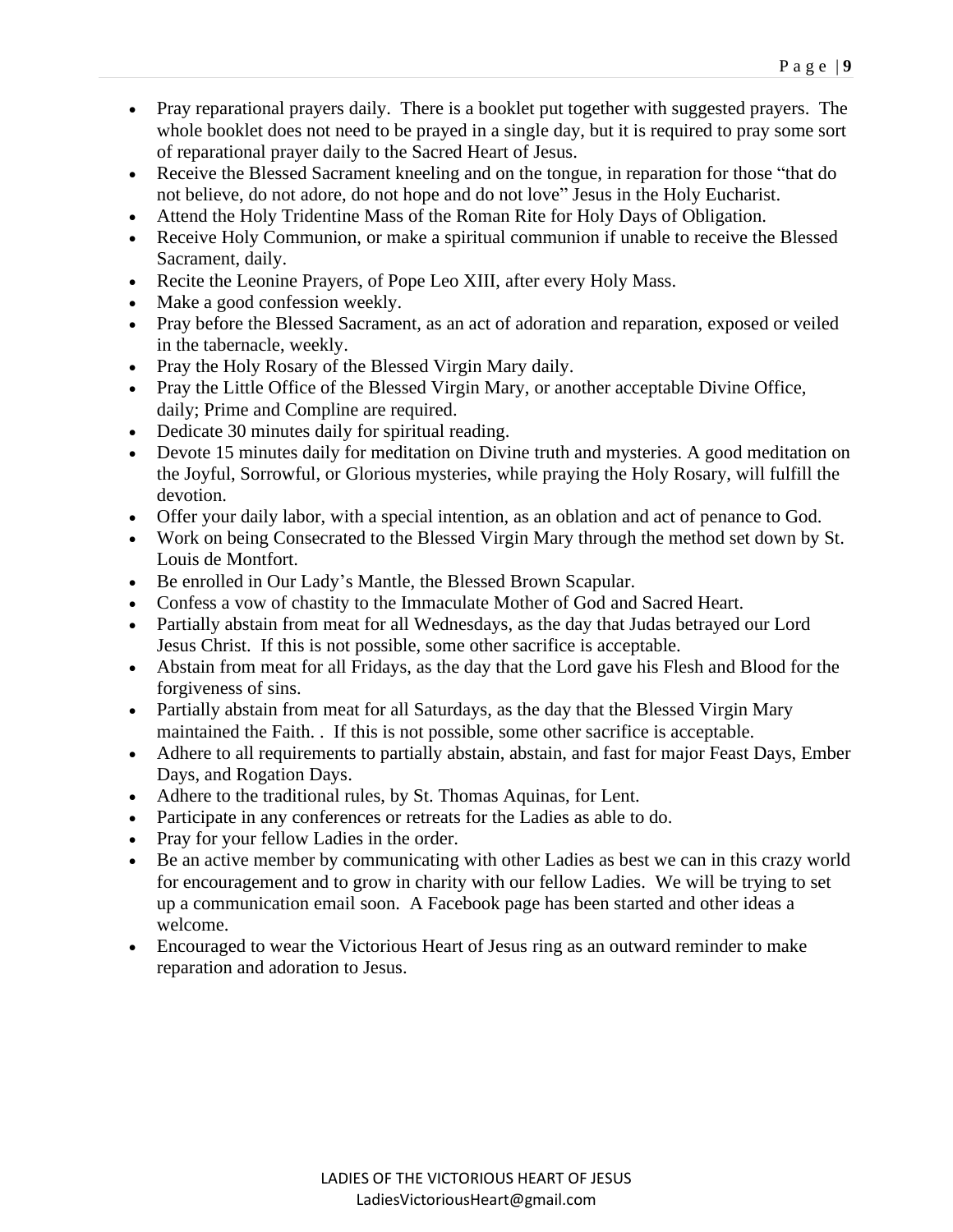- Pray reparational prayers daily. There is a booklet put together with suggested prayers. The whole booklet does not need to be prayed in a single day, but it is required to pray some sort of reparational prayer daily to the Sacred Heart of Jesus.
- Receive the Blessed Sacrament kneeling and on the tongue, in reparation for those "that do not believe, do not adore, do not hope and do not love" Jesus in the Holy Eucharist.
- Attend the Holy Tridentine Mass of the Roman Rite for Holy Days of Obligation.
- Receive Holy Communion, or make a spiritual communion if unable to receive the Blessed Sacrament, daily.
- Recite the Leonine Prayers, of Pope Leo XIII, after every Holy Mass.
- Make a good confession weekly.
- Pray before the Blessed Sacrament, as an act of adoration and reparation, exposed or veiled in the tabernacle, weekly.
- Pray the Holy Rosary of the Blessed Virgin Mary daily.
- Pray the Little Office of the Blessed Virgin Mary, or another acceptable Divine Office, daily; Prime and Compline are required.
- Dedicate 30 minutes daily for spiritual reading.
- Devote 15 minutes daily for meditation on Divine truth and mysteries. A good meditation on the Joyful, Sorrowful, or Glorious mysteries, while praying the Holy Rosary, will fulfill the devotion.
- Offer your daily labor, with a special intention, as an oblation and act of penance to God.
- Work on being Consecrated to the Blessed Virgin Mary through the method set down by St. Louis de Montfort.
- Be enrolled in Our Lady's Mantle, the Blessed Brown Scapular.
- Confess a vow of chastity to the Immaculate Mother of God and Sacred Heart.
- Partially abstain from meat for all Wednesdays, as the day that Judas betrayed our Lord Jesus Christ. If this is not possible, some other sacrifice is acceptable.
- Abstain from meat for all Fridays, as the day that the Lord gave his Flesh and Blood for the forgiveness of sins.
- Partially abstain from meat for all Saturdays, as the day that the Blessed Virgin Mary maintained the Faith. . If this is not possible, some other sacrifice is acceptable.
- Adhere to all requirements to partially abstain, abstain, and fast for major Feast Days, Ember Days, and Rogation Days.
- Adhere to the traditional rules, by St. Thomas Aquinas, for Lent.
- Participate in any conferences or retreats for the Ladies as able to do.
- Pray for your fellow Ladies in the order.
- Be an active member by communicating with other Ladies as best we can in this crazy world for encouragement and to grow in charity with our fellow Ladies. We will be trying to set up a communication email soon. A Facebook page has been started and other ideas a welcome.
- Encouraged to wear the Victorious Heart of Jesus ring as an outward reminder to make reparation and adoration to Jesus.